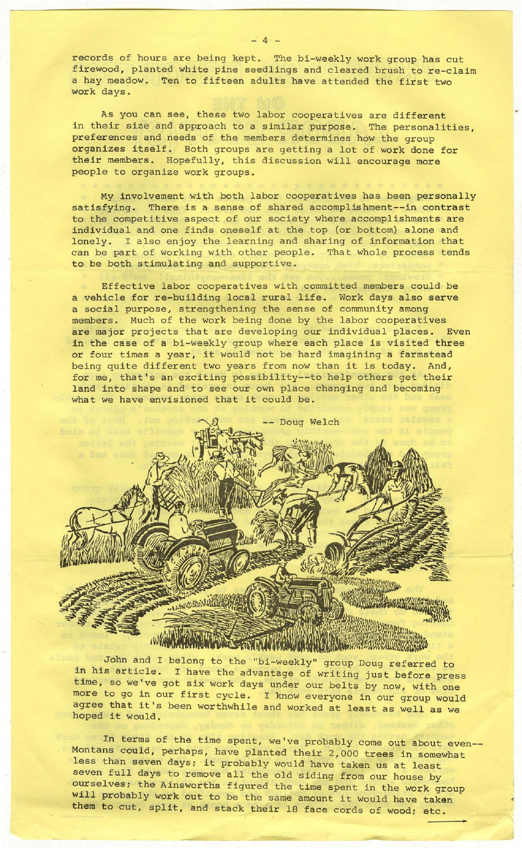records of hours are being kept. The hi-weekly work group has cut firewood, planted white pine seedlings and cleared brush to re-claim a hay meadow. Ten to fifteen adults have attended the first two work days.

As you can see, these two labor cooperatives are different in their size and approach to a similar purpose. The personalities, preferences and needs of the members determines how the group organizes itself. Both groups are getting a lot of work done for their members. Hopefully, this discussion will encourage more people to organize work groups.

My involvement with both lahor cooperatives has been personally satisfying. There is a sense of shared accomplishment--in contrast to the competitive aspect of our society where accomplishments are individual and one finds oneself at the top (or bottom) alone and lonely. I also enjoy the learning and sharing of information that can be part of working with other people. That whole process tends to be both stimulating and supportive.

Effective labor cooperatives with committed members could be a vehicle for re-building local rural life. Work days also serve a social purpose, strengthening the sense of community among members. Much of the work being done by the labor cooperatives are major projects that are developing our individual places. Even in the case of a bi-weekly group where each place is visited three or four times a year, it would not be hard imagining a farmstead being quite different two years from now than it is today. And, for me, that's an exciting possibility--to help others get their land into shape and to see our own place changing and becoming what we have envisioned that it could be.



John and I belong to the "bi-weekly" group Doug referred to in his article. I have the advantage of writing just before press time, so we've got six work days under our belts by now, with one more to go in our first cycle. I know everyone in our group would agree that it's been worthwhile and worked at least as well as we hoped it would.

In terms of the time spent, we've probably come out about even-- Montans could, perhaps, have planted their 2, 000 trees in somewhat less than seven days; it probably would have taken us at least seven full days to remove all the old siding from our house by ourselves; the Ainsworths figured the time spent 1n the work group will probably work out to be the same amount it would have taken them to cut, split, and stack their 18 face cords of wood; etc.

- 4 -